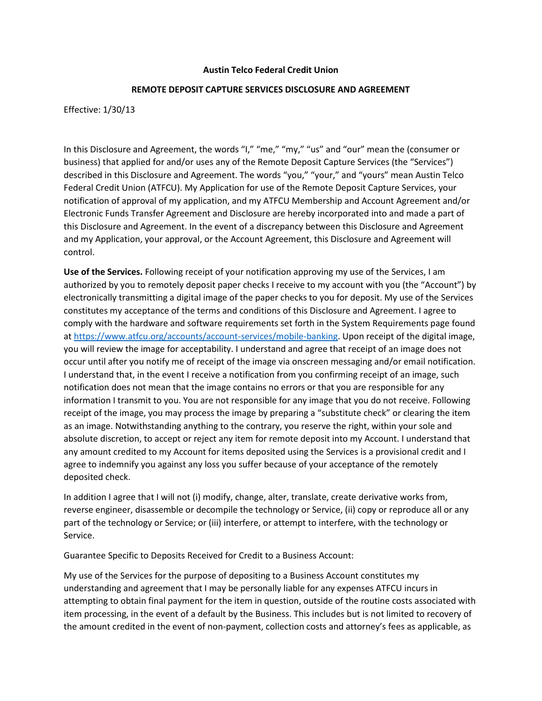## **Austin Telco Federal Credit Union**

## **REMOTE DEPOSIT CAPTURE SERVICES DISCLOSURE AND AGREEMENT**

Effective: 1/30/13

In this Disclosure and Agreement, the words "I," "me," "my," "us" and "our" mean the (consumer or business) that applied for and/or uses any of the Remote Deposit Capture Services (the "Services") described in this Disclosure and Agreement. The words "you," "your," and "yours" mean Austin Telco Federal Credit Union (ATFCU). My Application for use of the Remote Deposit Capture Services, your notification of approval of my application, and my ATFCU Membership and Account Agreement and/or Electronic Funds Transfer Agreement and Disclosure are hereby incorporated into and made a part of this Disclosure and Agreement. In the event of a discrepancy between this Disclosure and Agreement and my Application, your approval, or the Account Agreement, this Disclosure and Agreement will control.

**Use of the Services.** Following receipt of your notification approving my use of the Services, I am authorized by you to remotely deposit paper checks I receive to my account with you (the "Account") by electronically transmitting a digital image of the paper checks to you for deposit. My use of the Services constitutes my acceptance of the terms and conditions of this Disclosure and Agreement. I agree to comply with the hardware and software requirements set forth in the System Requirements page found a[t https://www.atfcu.org/accounts/account-services/mobile-banking.](https://www.atfcu.org/accounts/account-services/mobile-banking) Upon receipt of the digital image, you will review the image for acceptability. I understand and agree that receipt of an image does not occur until after you notify me of receipt of the image via onscreen messaging and/or email notification. I understand that, in the event I receive a notification from you confirming receipt of an image, such notification does not mean that the image contains no errors or that you are responsible for any information I transmit to you. You are not responsible for any image that you do not receive. Following receipt of the image, you may process the image by preparing a "substitute check" or clearing the item as an image. Notwithstanding anything to the contrary, you reserve the right, within your sole and absolute discretion, to accept or reject any item for remote deposit into my Account. I understand that any amount credited to my Account for items deposited using the Services is a provisional credit and I agree to indemnify you against any loss you suffer because of your acceptance of the remotely deposited check.

In addition I agree that I will not (i) modify, change, alter, translate, create derivative works from, reverse engineer, disassemble or decompile the technology or Service, (ii) copy or reproduce all or any part of the technology or Service; or (iii) interfere, or attempt to interfere, with the technology or Service.

Guarantee Specific to Deposits Received for Credit to a Business Account:

My use of the Services for the purpose of depositing to a Business Account constitutes my understanding and agreement that I may be personally liable for any expenses ATFCU incurs in attempting to obtain final payment for the item in question, outside of the routine costs associated with item processing, in the event of a default by the Business. This includes but is not limited to recovery of the amount credited in the event of non-payment, collection costs and attorney's fees as applicable, as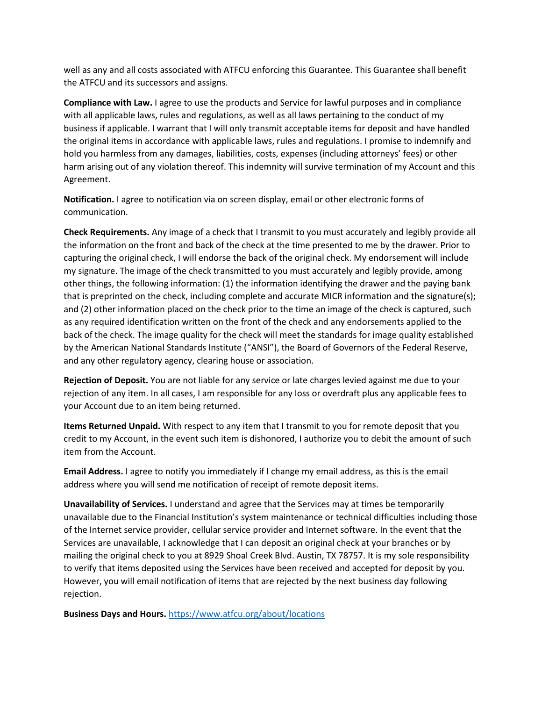well as any and all costs associated with ATFCU enforcing this Guarantee. This Guarantee shall benefit the ATFCU and its successors and assigns.

**Compliance with Law.** I agree to use the products and Service for lawful purposes and in compliance with all applicable laws, rules and regulations, as well as all laws pertaining to the conduct of my business if applicable. I warrant that I will only transmit acceptable items for deposit and have handled the original items in accordance with applicable laws, rules and regulations. I promise to indemnify and hold you harmless from any damages, liabilities, costs, expenses (including attorneys' fees) or other harm arising out of any violation thereof. This indemnity will survive termination of my Account and this Agreement.

**Notification.** I agree to notification via on screen display, email or other electronic forms of communication.

**Check Requirements.** Any image of a check that I transmit to you must accurately and legibly provide all the information on the front and back of the check at the time presented to me by the drawer. Prior to capturing the original check, I will endorse the back of the original check. My endorsement will include my signature. The image of the check transmitted to you must accurately and legibly provide, among other things, the following information: (1) the information identifying the drawer and the paying bank that is preprinted on the check, including complete and accurate MICR information and the signature(s); and (2) other information placed on the check prior to the time an image of the check is captured, such as any required identification written on the front of the check and any endorsements applied to the back of the check. The image quality for the check will meet the standards for image quality established by the American National Standards Institute ("ANSI"), the Board of Governors of the Federal Reserve, and any other regulatory agency, clearing house or association.

**Rejection of Deposit.** You are not liable for any service or late charges levied against me due to your rejection of any item. In all cases, I am responsible for any loss or overdraft plus any applicable fees to your Account due to an item being returned.

**Items Returned Unpaid.** With respect to any item that I transmit to you for remote deposit that you credit to my Account, in the event such item is dishonored, I authorize you to debit the amount of such item from the Account.

**Email Address.** I agree to notify you immediately if I change my email address, as this is the email address where you will send me notification of receipt of remote deposit items.

**Unavailability of Services.** I understand and agree that the Services may at times be temporarily unavailable due to the Financial Institution's system maintenance or technical difficulties including those of the Internet service provider, cellular service provider and Internet software. In the event that the Services are unavailable, I acknowledge that I can deposit an original check at your branches or by mailing the original check to you at 8929 Shoal Creek Blvd. Austin, TX 78757. It is my sole responsibility to verify that items deposited using the Services have been received and accepted for deposit by you. However, you will email notification of items that are rejected by the next business day following rejection.

**Business Days and Hours.** <https://www.atfcu.org/about/locations>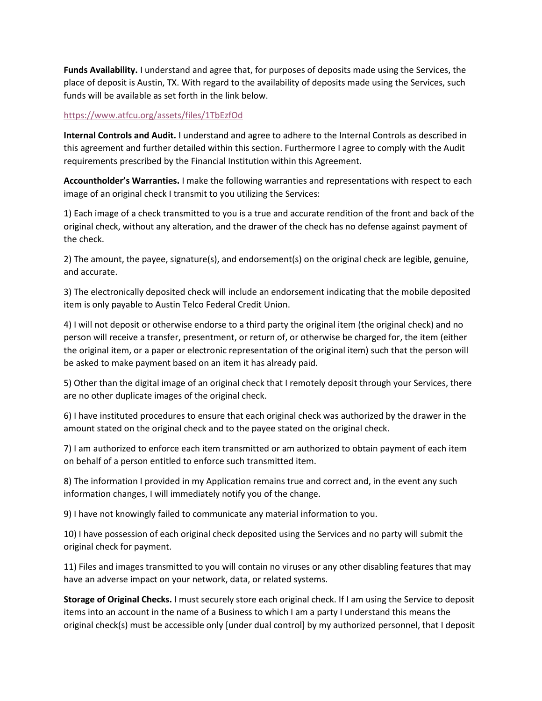**Funds Availability.** I understand and agree that, for purposes of deposits made using the Services, the place of deposit is Austin, TX. With regard to the availability of deposits made using the Services, such funds will be available as set forth in the link below.

# <https://www.atfcu.org/assets/files/1TbEzfOd>

**Internal Controls and Audit.** I understand and agree to adhere to the Internal Controls as described in this agreement and further detailed within this section. Furthermore I agree to comply with the Audit requirements prescribed by the Financial Institution within this Agreement.

**Accountholder's Warranties.** I make the following warranties and representations with respect to each image of an original check I transmit to you utilizing the Services:

1) Each image of a check transmitted to you is a true and accurate rendition of the front and back of the original check, without any alteration, and the drawer of the check has no defense against payment of the check.

2) The amount, the payee, signature(s), and endorsement(s) on the original check are legible, genuine, and accurate.

3) The electronically deposited check will include an endorsement indicating that the mobile deposited item is only payable to Austin Telco Federal Credit Union.

4) I will not deposit or otherwise endorse to a third party the original item (the original check) and no person will receive a transfer, presentment, or return of, or otherwise be charged for, the item (either the original item, or a paper or electronic representation of the original item) such that the person will be asked to make payment based on an item it has already paid.

5) Other than the digital image of an original check that I remotely deposit through your Services, there are no other duplicate images of the original check.

6) I have instituted procedures to ensure that each original check was authorized by the drawer in the amount stated on the original check and to the payee stated on the original check.

7) I am authorized to enforce each item transmitted or am authorized to obtain payment of each item on behalf of a person entitled to enforce such transmitted item.

8) The information I provided in my Application remains true and correct and, in the event any such information changes, I will immediately notify you of the change.

9) I have not knowingly failed to communicate any material information to you.

10) I have possession of each original check deposited using the Services and no party will submit the original check for payment.

11) Files and images transmitted to you will contain no viruses or any other disabling features that may have an adverse impact on your network, data, or related systems.

**Storage of Original Checks.** I must securely store each original check. If I am using the Service to deposit items into an account in the name of a Business to which I am a party I understand this means the original check(s) must be accessible only [under dual control] by my authorized personnel, that I deposit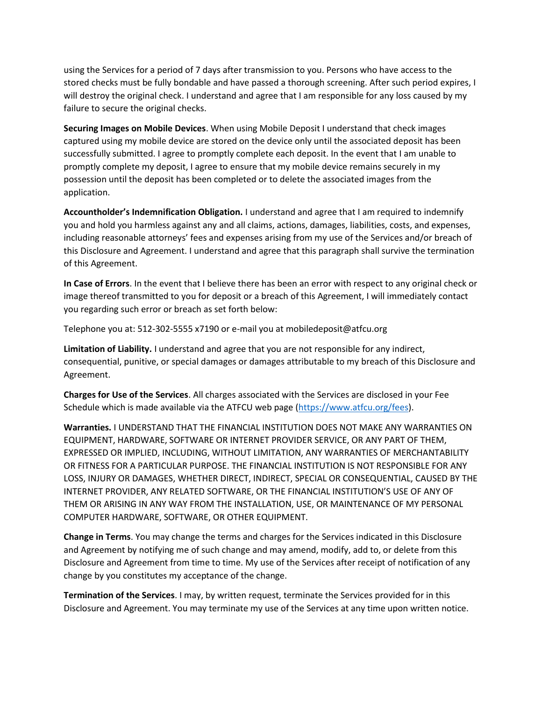using the Services for a period of 7 days after transmission to you. Persons who have access to the stored checks must be fully bondable and have passed a thorough screening. After such period expires, I will destroy the original check. I understand and agree that I am responsible for any loss caused by my failure to secure the original checks.

**Securing Images on Mobile Devices**. When using Mobile Deposit I understand that check images captured using my mobile device are stored on the device only until the associated deposit has been successfully submitted. I agree to promptly complete each deposit. In the event that I am unable to promptly complete my deposit, I agree to ensure that my mobile device remains securely in my possession until the deposit has been completed or to delete the associated images from the application.

**Accountholder's Indemnification Obligation.** I understand and agree that I am required to indemnify you and hold you harmless against any and all claims, actions, damages, liabilities, costs, and expenses, including reasonable attorneys' fees and expenses arising from my use of the Services and/or breach of this Disclosure and Agreement. I understand and agree that this paragraph shall survive the termination of this Agreement.

**In Case of Errors**. In the event that I believe there has been an error with respect to any original check or image thereof transmitted to you for deposit or a breach of this Agreement, I will immediately contact you regarding such error or breach as set forth below:

Telephone you at: 512-302-5555 x7190 or e-mail you at mobiledeposit@atfcu.org

**Limitation of Liability.** I understand and agree that you are not responsible for any indirect, consequential, punitive, or special damages or damages attributable to my breach of this Disclosure and Agreement.

**Charges for Use of the Services**. All charges associated with the Services are disclosed in your Fee Schedule which is made available via the ATFCU web page [\(https://www.atfcu.org/fees\)](https://www.atfcu.org/fees).

**Warranties.** I UNDERSTAND THAT THE FINANCIAL INSTITUTION DOES NOT MAKE ANY WARRANTIES ON EQUIPMENT, HARDWARE, SOFTWARE OR INTERNET PROVIDER SERVICE, OR ANY PART OF THEM, EXPRESSED OR IMPLIED, INCLUDING, WITHOUT LIMITATION, ANY WARRANTIES OF MERCHANTABILITY OR FITNESS FOR A PARTICULAR PURPOSE. THE FINANCIAL INSTITUTION IS NOT RESPONSIBLE FOR ANY LOSS, INJURY OR DAMAGES, WHETHER DIRECT, INDIRECT, SPECIAL OR CONSEQUENTIAL, CAUSED BY THE INTERNET PROVIDER, ANY RELATED SOFTWARE, OR THE FINANCIAL INSTITUTION'S USE OF ANY OF THEM OR ARISING IN ANY WAY FROM THE INSTALLATION, USE, OR MAINTENANCE OF MY PERSONAL COMPUTER HARDWARE, SOFTWARE, OR OTHER EQUIPMENT.

**Change in Terms**. You may change the terms and charges for the Services indicated in this Disclosure and Agreement by notifying me of such change and may amend, modify, add to, or delete from this Disclosure and Agreement from time to time. My use of the Services after receipt of notification of any change by you constitutes my acceptance of the change.

**Termination of the Services**. I may, by written request, terminate the Services provided for in this Disclosure and Agreement. You may terminate my use of the Services at any time upon written notice.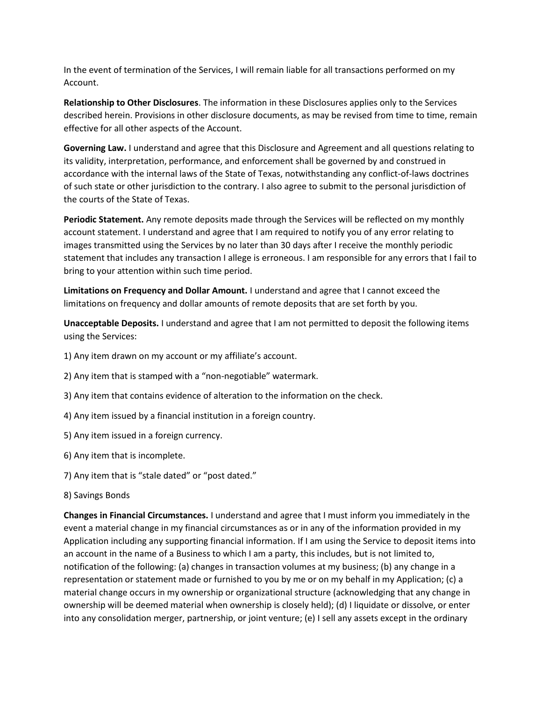In the event of termination of the Services, I will remain liable for all transactions performed on my Account.

**Relationship to Other Disclosures**. The information in these Disclosures applies only to the Services described herein. Provisions in other disclosure documents, as may be revised from time to time, remain effective for all other aspects of the Account.

**Governing Law.** I understand and agree that this Disclosure and Agreement and all questions relating to its validity, interpretation, performance, and enforcement shall be governed by and construed in accordance with the internal laws of the State of Texas, notwithstanding any conflict-of-laws doctrines of such state or other jurisdiction to the contrary. I also agree to submit to the personal jurisdiction of the courts of the State of Texas.

**Periodic Statement.** Any remote deposits made through the Services will be reflected on my monthly account statement. I understand and agree that I am required to notify you of any error relating to images transmitted using the Services by no later than 30 days after I receive the monthly periodic statement that includes any transaction I allege is erroneous. I am responsible for any errors that I fail to bring to your attention within such time period.

**Limitations on Frequency and Dollar Amount.** I understand and agree that I cannot exceed the limitations on frequency and dollar amounts of remote deposits that are set forth by you.

**Unacceptable Deposits.** I understand and agree that I am not permitted to deposit the following items using the Services:

- 1) Any item drawn on my account or my affiliate's account.
- 2) Any item that is stamped with a "non-negotiable" watermark.
- 3) Any item that contains evidence of alteration to the information on the check.
- 4) Any item issued by a financial institution in a foreign country.
- 5) Any item issued in a foreign currency.
- 6) Any item that is incomplete.
- 7) Any item that is "stale dated" or "post dated."
- 8) Savings Bonds

**Changes in Financial Circumstances.** I understand and agree that I must inform you immediately in the event a material change in my financial circumstances as or in any of the information provided in my Application including any supporting financial information. If I am using the Service to deposit items into an account in the name of a Business to which I am a party, this includes, but is not limited to, notification of the following: (a) changes in transaction volumes at my business; (b) any change in a representation or statement made or furnished to you by me or on my behalf in my Application; (c) a material change occurs in my ownership or organizational structure (acknowledging that any change in ownership will be deemed material when ownership is closely held); (d) I liquidate or dissolve, or enter into any consolidation merger, partnership, or joint venture; (e) I sell any assets except in the ordinary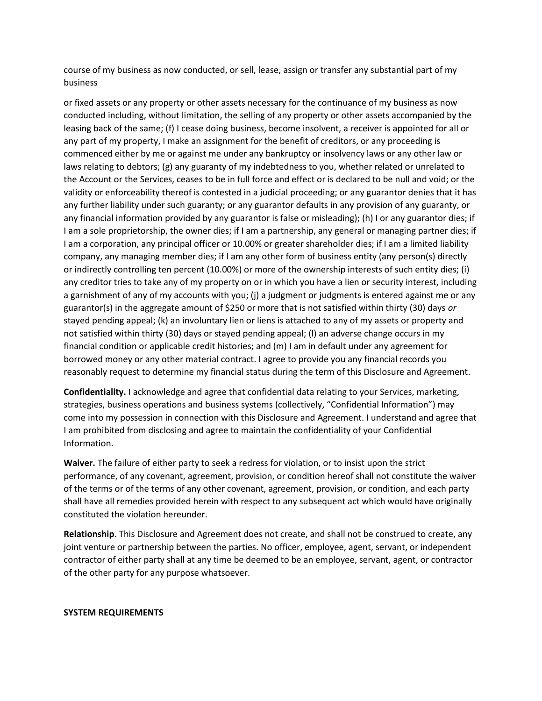course of my business as now conducted, or sell, lease, assign or transfer any substantial part of my business

or fixed assets or any property or other assets necessary for the continuance of my business as now conducted including, without limitation, the selling of any property or other assets accompanied by the leasing back of the same; (f) I cease doing business, become insolvent, a receiver is appointed for all or any part of my property, I make an assignment for the benefit of creditors, or any proceeding is commenced either by me or against me under any bankruptcy or insolvency laws or any other law or laws relating to debtors; (g) any guaranty of my indebtedness to you, whether related or unrelated to the Account or the Services, ceases to be in full force and effect or is declared to be null and void; or the validity or enforceability thereof is contested in a judicial proceeding; or any guarantor denies that it has any further liability under such guaranty; or any guarantor defaults in any provision of any guaranty, or any financial information provided by any guarantor is false or misleading); (h) I or any guarantor dies; if I am a sole proprietorship, the owner dies; if I am a partnership, any general or managing partner dies; if I am a corporation, any principal officer or 10.00% or greater shareholder dies; if I am a limited liability company, any managing member dies; if I am any other form of business entity (any person(s) directly or indirectly controlling ten percent (10.00%) or more of the ownership interests of such entity dies; (i) any creditor tries to take any of my property on or in which you have a lien or security interest, including a garnishment of any of my accounts with you; (j) a judgment or judgments is entered against me or any guarantor(s) in the aggregate amount of \$250 or more that is not satisfied within thirty (30) days *or*  stayed pending appeal; (k) an involuntary lien or liens is attached to any of my assets or property and not satisfied within thirty (30) days or stayed pending appeal; (l) an adverse change occurs in my financial condition or applicable credit histories; and (m) I am in default under any agreement for borrowed money or any other material contract. I agree to provide you any financial records you reasonably request to determine my financial status during the term of this Disclosure and Agreement.

**Confidentiality.** I acknowledge and agree that confidential data relating to your Services, marketing, strategies, business operations and business systems (collectively, "Confidential Information") may come into my possession in connection with this Disclosure and Agreement. I understand and agree that I am prohibited from disclosing and agree to maintain the confidentiality of your Confidential Information.

**Waiver.** The failure of either party to seek a redress for violation, or to insist upon the strict performance, of any covenant, agreement, provision, or condition hereof shall not constitute the waiver of the terms or of the terms of any other covenant, agreement, provision, or condition, and each party shall have all remedies provided herein with respect to any subsequent act which would have originally constituted the violation hereunder.

**Relationship**. This Disclosure and Agreement does not create, and shall not be construed to create, any joint venture or partnership between the parties. No officer, employee, agent, servant, or independent contractor of either party shall at any time be deemed to be an employee, servant, agent, or contractor of the other party for any purpose whatsoever.

#### **SYSTEM REQUIREMENTS**